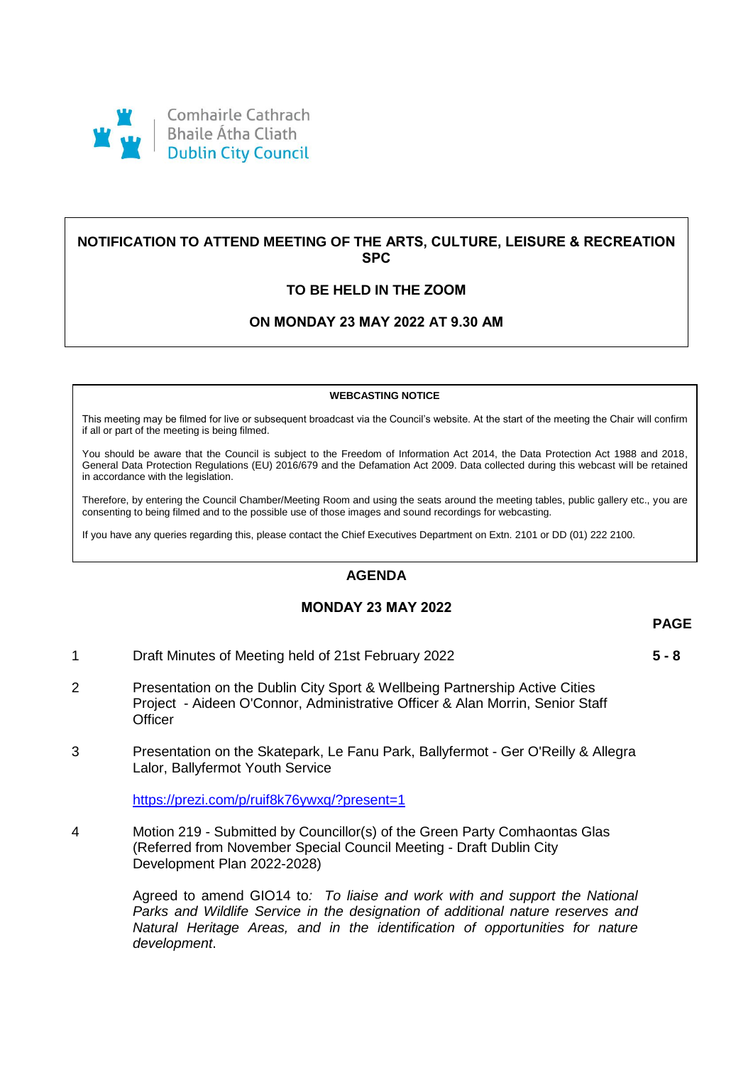

# **NOTIFICATION TO ATTEND MEETING OF THE ARTS, CULTURE, LEISURE & RECREATION SPC**

# **TO BE HELD IN THE ZOOM**

## **ON MONDAY 23 MAY 2022 AT 9.30 AM**

#### **WEBCASTING NOTICE**

This meeting may be filmed for live or subsequent broadcast via the Council's website. At the start of the meeting the Chair will confirm if all or part of the meeting is being filmed.

You should be aware that the Council is subject to the Freedom of Information Act 2014, the Data Protection Act 1988 and 2018, General Data Protection Regulations (EU) 2016/679 and the Defamation Act 2009. Data collected during this webcast will be retained in accordance with the legislation.

Therefore, by entering the Council Chamber/Meeting Room and using the seats around the meeting tables, public gallery etc., you are consenting to being filmed and to the possible use of those images and sound recordings for webcasting.

If you have any queries regarding this, please contact the Chief Executives Department on Extn. 2101 or DD (01) 222 2100.

### **AGENDA**

### **MONDAY 23 MAY 2022**

#### **PAGE**

1 Draft Minutes of Meeting held of 21st February 2022 **5 - 8**

- 2 Presentation on the Dublin City Sport & Wellbeing Partnership Active Cities Project - Aideen O'Connor, Administrative Officer & Alan Morrin, Senior Staff **Officer**
- 3 Presentation on the Skatepark, Le Fanu Park, Ballyfermot Ger O'Reilly & Allegra Lalor, Ballyfermot Youth Service

[https://prezi.com/p/ruif8k76ywxq/?present=1](https://scanner.topsec.com/?d=1962&r=show&u=https%3A%2F%2Fprezi.com%2Fp%2Fruif8k76ywxq%2F%3Fpresent%3D1&t=b7bd301e33f775c908cd26df530783bb97a24d97)

4 Motion 219 - Submitted by Councillor(s) of the Green Party Comhaontas Glas (Referred from November Special Council Meeting - Draft Dublin City Development Plan 2022-2028)

> Agreed to amend GIO14 to*: To liaise and work with and support the National Parks and Wildlife Service in the designation of additional nature reserves and Natural Heritage Areas, and in the identification of opportunities for nature development*.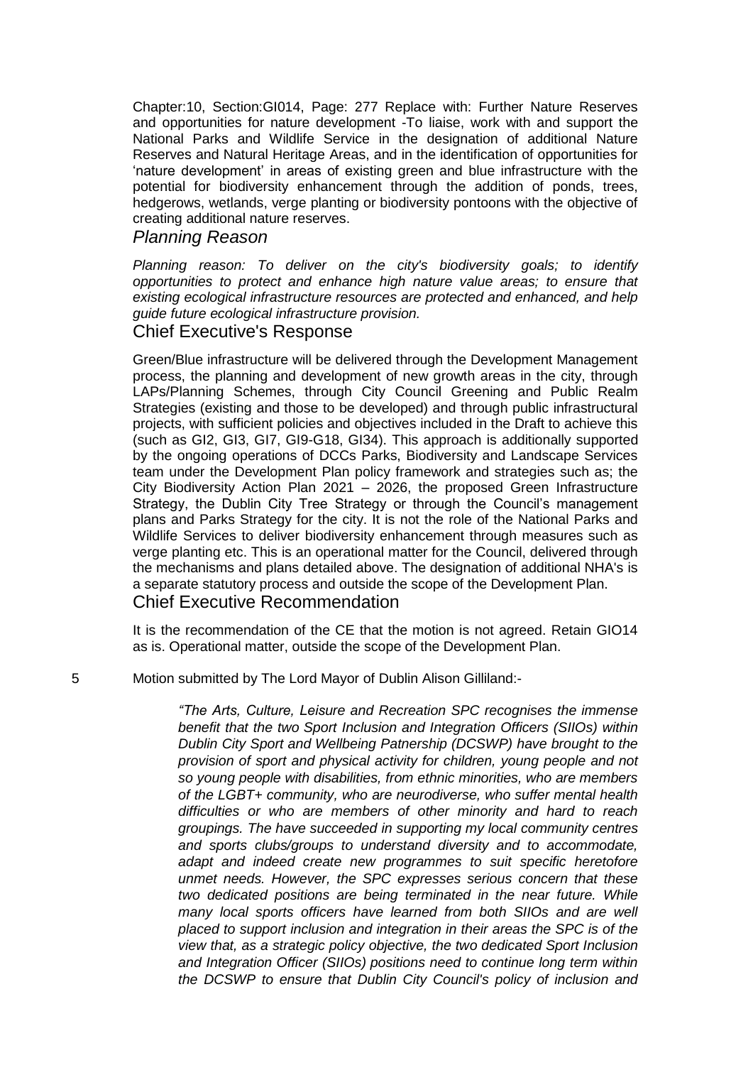Chapter:10, Section:GI014, Page: 277 Replace with: Further Nature Reserves and opportunities for nature development -To liaise, work with and support the National Parks and Wildlife Service in the designation of additional Nature Reserves and Natural Heritage Areas, and in the identification of opportunities for 'nature development' in areas of existing green and blue infrastructure with the potential for biodiversity enhancement through the addition of ponds, trees, hedgerows, wetlands, verge planting or biodiversity pontoons with the objective of creating additional nature reserves.

# *Planning Reason*

*Planning reason: To deliver on the city's biodiversity goals; to identify opportunities to protect and enhance high nature value areas; to ensure that existing ecological infrastructure resources are protected and enhanced, and help guide future ecological infrastructure provision.*

# Chief Executive's Response

Green/Blue infrastructure will be delivered through the Development Management process, the planning and development of new growth areas in the city, through LAPs/Planning Schemes, through City Council Greening and Public Realm Strategies (existing and those to be developed) and through public infrastructural projects, with sufficient policies and objectives included in the Draft to achieve this (such as GI2, GI3, GI7, GI9-G18, GI34). This approach is additionally supported by the ongoing operations of DCCs Parks, Biodiversity and Landscape Services team under the Development Plan policy framework and strategies such as; the City Biodiversity Action Plan 2021 – 2026, the proposed Green Infrastructure Strategy, the Dublin City Tree Strategy or through the Council's management plans and Parks Strategy for the city. It is not the role of the National Parks and Wildlife Services to deliver biodiversity enhancement through measures such as verge planting etc. This is an operational matter for the Council, delivered through the mechanisms and plans detailed above. The designation of additional NHA's is a separate statutory process and outside the scope of the Development Plan. Chief Executive Recommendation

It is the recommendation of the CE that the motion is not agreed. Retain GIO14 as is. Operational matter, outside the scope of the Development Plan.

5 Motion submitted by The Lord Mayor of Dublin Alison Gilliland:-

*"The Arts, Culture, Leisure and Recreation SPC recognises the immense benefit that the two Sport Inclusion and Integration Officers (SIIOs) within Dublin City Sport and Wellbeing Patnership (DCSWP) have brought to the provision of sport and physical activity for children, young people and not so young people with disabilities, from ethnic minorities, who are members of the LGBT+ community, who are neurodiverse, who suffer mental health difficulties or who are members of other minority and hard to reach groupings. The have succeeded in supporting my local community centres and sports clubs/groups to understand diversity and to accommodate, adapt and indeed create new programmes to suit specific heretofore unmet needs. However, the SPC expresses serious concern that these two dedicated positions are being terminated in the near future. While many local sports officers have learned from both SIIOs and are well placed to support inclusion and integration in their areas the SPC is of the view that, as a strategic policy objective, the two dedicated Sport Inclusion and Integration Officer (SIIOs) positions need to continue long term within the DCSWP to ensure that Dublin City Council's policy of inclusion and*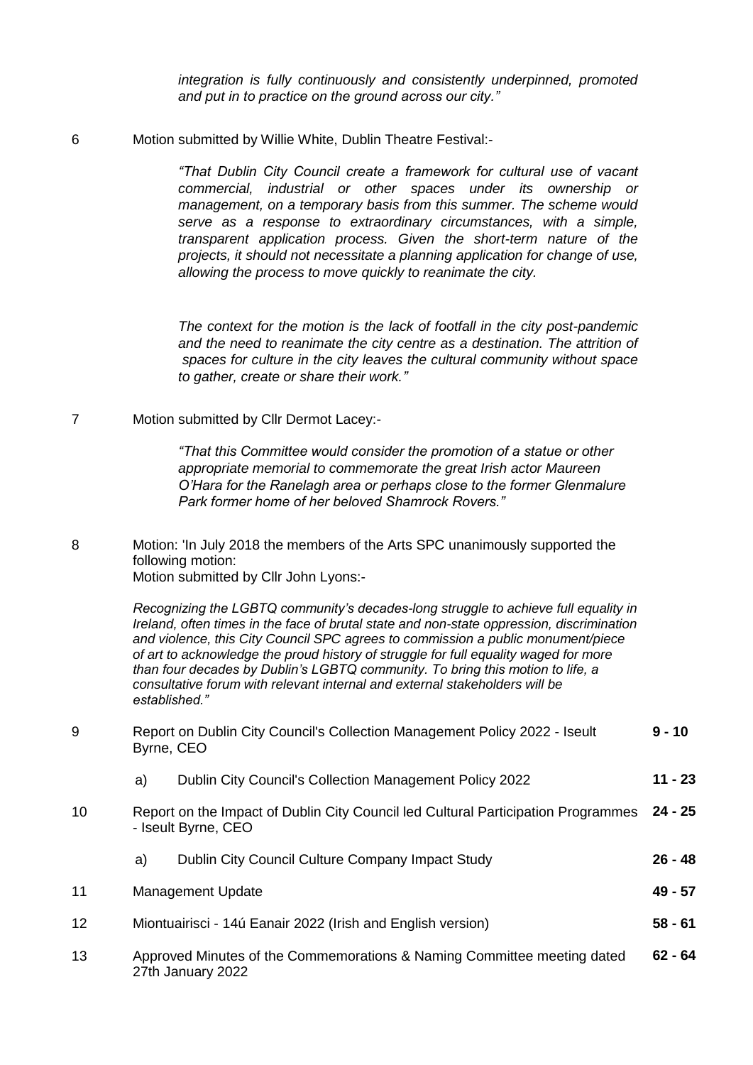*integration is fully continuously and consistently underpinned, promoted and put in to practice on the ground across our city."* 

6 Motion submitted by Willie White, Dublin Theatre Festival:-

*"That Dublin City Council create a framework for cultural use of vacant commercial, industrial or other spaces under its ownership or management, on a temporary basis from this summer. The scheme would serve as a response to extraordinary circumstances, with a simple, transparent application process. Given the short-term nature of the projects, it should not necessitate a planning application for change of use, allowing the process to move quickly to reanimate the city.*

*The context for the motion is the lack of footfall in the city post-pandemic and the need to reanimate the city centre as a destination. The attrition of spaces for culture in the city leaves the cultural community without space to gather, create or share their work."*

7 Motion submitted by Cllr Dermot Lacey:-

*"That this Committee would consider the promotion of a statue or other appropriate memorial to commemorate the great Irish actor Maureen O'Hara for the Ranelagh area or perhaps close to the former Glenmalure Park former home of her beloved Shamrock Rovers."* 

8 Motion: 'In July 2018 the members of the Arts SPC unanimously supported the following motion:

Motion submitted by Cllr John Lyons:-

*Recognizing the LGBTQ community's decades-long struggle to achieve full equality in Ireland, often times in the face of brutal state and non-state oppression, discrimination and violence, this City Council SPC agrees to commission a public monument/piece of art to acknowledge the proud history of struggle for full equality waged for more than four decades by Dublin's LGBTQ community. To bring this motion to life, a consultative forum with relevant internal and external stakeholders will be established."*

| 9  | Byrne, CEO                                                  | Report on Dublin City Council's Collection Management Policy 2022 - Iseult                               | $9 - 10$  |
|----|-------------------------------------------------------------|----------------------------------------------------------------------------------------------------------|-----------|
|    | a)                                                          | <b>Dublin City Council's Collection Management Policy 2022</b>                                           | $11 - 23$ |
| 10 |                                                             | Report on the Impact of Dublin City Council led Cultural Participation Programmes<br>- Iseult Byrne, CEO | $24 - 25$ |
|    | a)                                                          | Dublin City Council Culture Company Impact Study                                                         | $26 - 48$ |
| 11 |                                                             | <b>Management Update</b>                                                                                 | $49 - 57$ |
| 12 | Miontuairisci - 14ú Eanair 2022 (Irish and English version) |                                                                                                          | $58 - 61$ |
| 13 |                                                             | Approved Minutes of the Commemorations & Naming Committee meeting dated<br>27th January 2022             | $62 - 64$ |